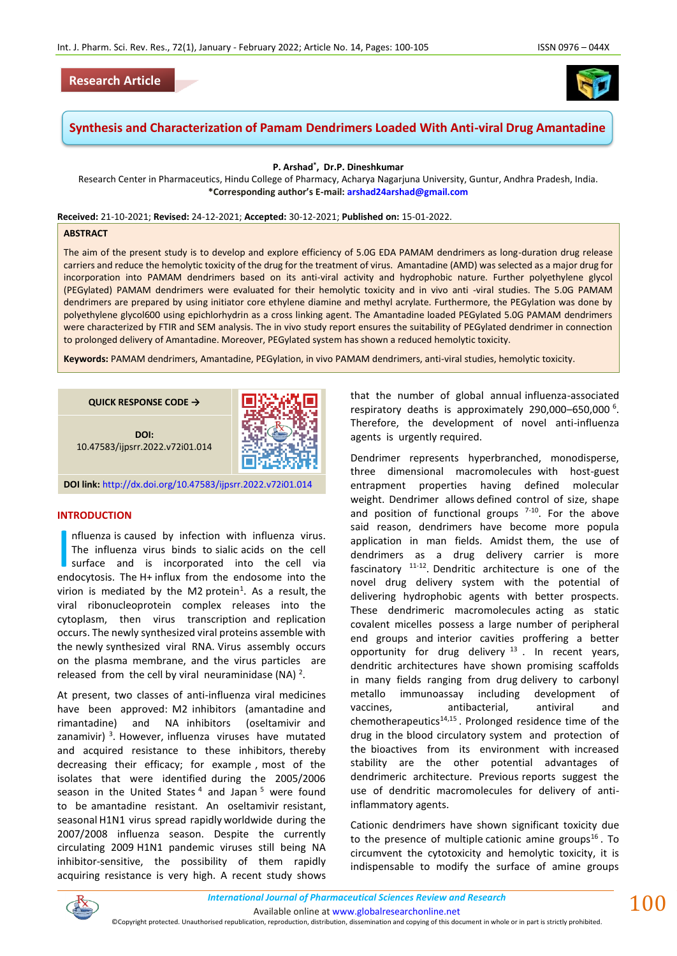# **Research Article**



# **Synthesis and Characterization of Pamam Dendrimers Loaded With Anti-viral Drug Amantadine**

**P. Arshad\* , Dr.P. Dineshkumar**

Research Center in Pharmaceutics, Hindu College of Pharmacy, Acharya Nagarjuna University, Guntur, Andhra Pradesh, India. **\*Corresponding author's E-mail: [arshad24arshad@gmail.com](about:blank)**

**Received:** 21-10-2021; **Revised:** 24-12-2021; **Accepted:** 30-12-2021; **Published on:** 15-01-2022.

#### **ABSTRACT**

The aim of the present study is to develop and explore efficiency of 5.0G EDA PAMAM dendrimers as long-duration drug release carriers and reduce the hemolytic toxicity of the drug for the treatment of virus. Amantadine (AMD) was selected as a major drug for incorporation into PAMAM dendrimers based on its anti-viral activity and hydrophobic nature. Further polyethylene glycol (PEGylated) PAMAM dendrimers were evaluated for their hemolytic toxicity and in vivo anti -viral studies. The 5.0G PAMAM dendrimers are prepared by using initiator core ethylene diamine and methyl acrylate. Furthermore, the PEGylation was done by polyethylene glycol600 using epichlorhydrin as a cross linking agent. The Amantadine loaded PEGylated 5.0G PAMAM dendrimers were characterized by FTIR and SEM analysis. The in vivo study report ensures the suitability of PEGylated dendrimer in connection to prolonged delivery of Amantadine. Moreover, PEGylated system has shown a reduced hemolytic toxicity.

**Keywords:** PAMAM dendrimers, Amantadine, PEGylation, in vivo PAMAM dendrimers, anti-viral studies, hemolytic toxicity.

| QUICK RESPONSE CODE $\rightarrow$       |  |
|-----------------------------------------|--|
| DOI:<br>10.47583/ijpsrr.2022.v72i01.014 |  |

**DOI link:** <http://dx.doi.org/10.47583/ijpsrr.2022.v72i01.014>

### **INTRODUCTION**

nfluenza is caused by infection with influenza virus. The influenza virus binds to sialic acids on the cell surface and is incorporated into the cell via Influenza is caused by infection with influenza virus.<br>The influenza virus binds to sialic acids on the cell<br>surface and is incorporated into the cell via<br>endocytosis. The H+ influx from the endosome into the virion is mediated by the M2 protein<sup>1</sup>. As a result, the viral ribonucleoprotein complex releases into the cytoplasm, then virus transcription and replication occurs. The newly synthesized viral proteins assemble with the newly synthesized viral RNA. Virus assembly occurs on the plasma membrane, and the virus particles are released from the cell by viral neuraminidase (NA)  $^2$ .

At present, two classes of anti-influenza viral medicines have been approved: M2 inhibitors (amantadine and rimantadine) and NA inhibitors (oseltamivir and zanamivir)<sup>3</sup>. However, influenza viruses have mutated and acquired resistance to these inhibitors, thereby decreasing their efficacy; for example , most of the isolates that were identified during the 2005/2006 season in the United States<sup>4</sup> and Japan<sup>5</sup> were found to be amantadine resistant. An oseltamivir resistant, seasonal H1N1 virus spread rapidly worldwide during the 2007/2008 influenza season. Despite the currently circulating 2009 H1N1 pandemic viruses still being NA inhibitor-sensitive, the possibility of them rapidly acquiring resistance is very high. A recent study shows

that the number of global annual influenza-associated respiratory deaths is approximately 290,000–650,000 <sup>6</sup> . Therefore, the development of novel anti-influenza agents is urgently required.

Dendrimer represents hyperbranched, monodisperse, three dimensional macromolecules with host-guest entrapment properties having defined molecular weight. Dendrimer allows defined control of size, shape and position of functional groups  $7-10$ . For the above said reason, dendrimers have become more popula application in man fields. Amidst them, the use of dendrimers as a drug delivery carrier is more fascinatory  $11-12$ . Dendritic architecture is one of the novel drug delivery system with the potential of delivering hydrophobic agents with better prospects. These dendrimeric macromolecules acting as static covalent micelles possess a large number of peripheral end groups and interior cavities proffering a better opportunity for drug delivery  $13$ . In recent years, dendritic architectures have shown promising scaffolds in many fields ranging from drug delivery to carbonyl metallo immunoassay including development of vaccines, antibacterial, antiviral and chemotherapeutics<sup>14,15</sup>. Prolonged residence time of the drug in the blood circulatory system and protection of the bioactives from its environment with increased stability are the other potential advantages of dendrimeric architecture. Previous reports suggest the use of dendritic macromolecules for delivery of antiinflammatory agents.

Cationic dendrimers have shown significant toxicity due to the presence of multiple cationic amine groups<sup>16</sup>. To circumvent the cytotoxicity and hemolytic toxicity, it is indispensable to modify the surface of amine groups



*International Journal of Pharmaceutical Sciences Review and Research International Journal of Pharmaceutical Sciences Review and Research* Available online a[t www.globalresearchonline.net](http://www.globalresearchonline.net/)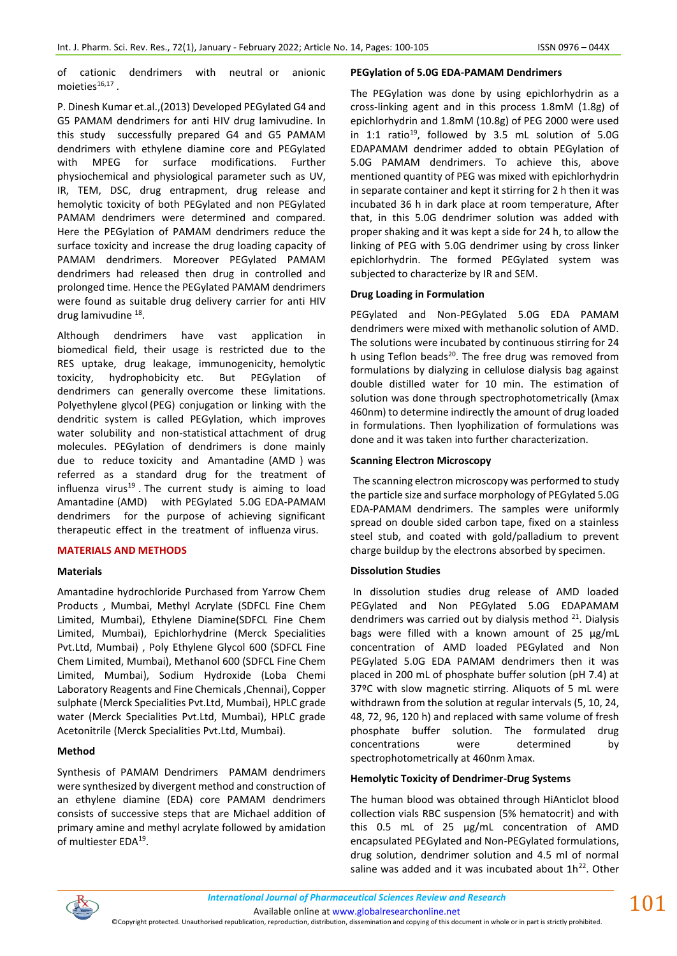of cationic dendrimers with neutral or anionic moieties $^{16,17}$  .

P. Dinesh Kumar et.al.,(2013) Developed PEGylated G4 and G5 PAMAM dendrimers for anti HIV drug lamivudine. In this study successfully prepared G4 and G5 PAMAM dendrimers with ethylene diamine core and PEGylated with MPEG for surface modifications. Further physiochemical and physiological parameter such as UV, IR, TEM, DSC, drug entrapment, drug release and hemolytic toxicity of both PEGylated and non PEGylated PAMAM dendrimers were determined and compared. Here the PEGylation of PAMAM dendrimers reduce the surface toxicity and increase the drug loading capacity of PAMAM dendrimers. Moreover PEGylated PAMAM dendrimers had released then drug in controlled and prolonged time. Hence the PEGylated PAMAM dendrimers were found as suitable drug delivery carrier for anti HIV drug lamivudine <sup>18</sup>.

Although dendrimers have vast application in biomedical field, their usage is restricted due to the RES uptake, drug leakage, immunogenicity, hemolytic toxicity, hydrophobicity etc. But PEGylation of dendrimers can generally overcome these limitations. Polyethylene glycol (PEG) conjugation or linking with the dendritic system is called PEGylation, which improves water solubility and non-statistical attachment of drug molecules. PEGylation of dendrimers is done mainly due to reduce toxicity and Amantadine (AMD ) was referred as a standard drug for the treatment of influenza virus $19$ . The current study is aiming to load Amantadine (AMD) with PEGylated 5.0G EDA-PAMAM dendrimers for the purpose of achieving significant therapeutic effect in the treatment of influenza virus.

## **MATERIALS AND METHODS**

#### **Materials**

Amantadine hydrochloride Purchased from Yarrow Chem Products , Mumbai, Methyl Acrylate (SDFCL Fine Chem Limited, Mumbai), Ethylene Diamine(SDFCL Fine Chem Limited, Mumbai), Epichlorhydrine (Merck Specialities Pvt.Ltd, Mumbai) , Poly Ethylene Glycol 600 (SDFCL Fine Chem Limited, Mumbai), Methanol 600 (SDFCL Fine Chem Limited, Mumbai), Sodium Hydroxide (Loba Chemi Laboratory Reagents and Fine Chemicals ,Chennai), Copper sulphate (Merck Specialities Pvt.Ltd, Mumbai), HPLC grade water (Merck Specialities Pvt.Ltd, Mumbai), HPLC grade Acetonitrile (Merck Specialities Pvt.Ltd, Mumbai).

## **Method**

Synthesis of PAMAM Dendrimers PAMAM dendrimers were synthesized by divergent method and construction of an ethylene diamine (EDA) core PAMAM dendrimers consists of successive steps that are Michael addition of primary amine and methyl acrylate followed by amidation of multiester EDA<sup>19</sup>.

#### **PEGylation of 5.0G EDA-PAMAM Dendrimers**

The PEGylation was done by using epichlorhydrin as a cross-linking agent and in this process 1.8mM (1.8g) of epichlorhydrin and 1.8mM (10.8g) of PEG 2000 were used in 1:1 ratio<sup>19</sup>, followed by 3.5 mL solution of 5.0G EDAPAMAM dendrimer added to obtain PEGylation of 5.0G PAMAM dendrimers. To achieve this, above mentioned quantity of PEG was mixed with epichlorhydrin in separate container and kept it stirring for 2 h then it was incubated 36 h in dark place at room temperature, After that, in this 5.0G dendrimer solution was added with proper shaking and it was kept a side for 24 h, to allow the linking of PEG with 5.0G dendrimer using by cross linker epichlorhydrin. The formed PEGylated system was subjected to characterize by IR and SEM.

### **Drug Loading in Formulation**

PEGylated and Non-PEGylated 5.0G EDA PAMAM dendrimers were mixed with methanolic solution of AMD. The solutions were incubated by continuous stirring for 24 h using Teflon beads<sup>20</sup>. The free drug was removed from formulations by dialyzing in cellulose dialysis bag against double distilled water for 10 min. The estimation of solution was done through spectrophotometrically (λmax 460nm) to determine indirectly the amount of drug loaded in formulations. Then lyophilization of formulations was done and it was taken into further characterization.

### **Scanning Electron Microscopy**

The scanning electron microscopy was performed to study the particle size and surface morphology of PEGylated 5.0G EDA-PAMAM dendrimers. The samples were uniformly spread on double sided carbon tape, fixed on a stainless steel stub, and coated with gold/palladium to prevent charge buildup by the electrons absorbed by specimen.

## **Dissolution Studies**

In dissolution studies drug release of AMD loaded PEGylated and Non PEGylated 5.0G EDAPAMAM dendrimers was carried out by dialysis method  $21$ . Dialysis bags were filled with a known amount of 25 µg/mL concentration of AMD loaded PEGylated and Non PEGylated 5.0G EDA PAMAM dendrimers then it was placed in 200 mL of phosphate buffer solution (pH 7.4) at 37ºC with slow magnetic stirring. Aliquots of 5 mL were withdrawn from the solution at regular intervals (5, 10, 24, 48, 72, 96, 120 h) and replaced with same volume of fresh phosphate buffer solution. The formulated drug concentrations were determined by spectrophotometrically at 460nm λmax.

## **Hemolytic Toxicity of Dendrimer-Drug Systems**

The human blood was obtained through HiAnticlot blood collection vials RBC suspension (5% hematocrit) and with this 0.5 mL of 25 µg/mL concentration of AMD encapsulated PEGylated and Non-PEGylated formulations, drug solution, dendrimer solution and 4.5 ml of normal saline was added and it was incubated about  $1h^{22}$ . Other



Available online a[t www.globalresearchonline.net](http://www.globalresearchonline.net/)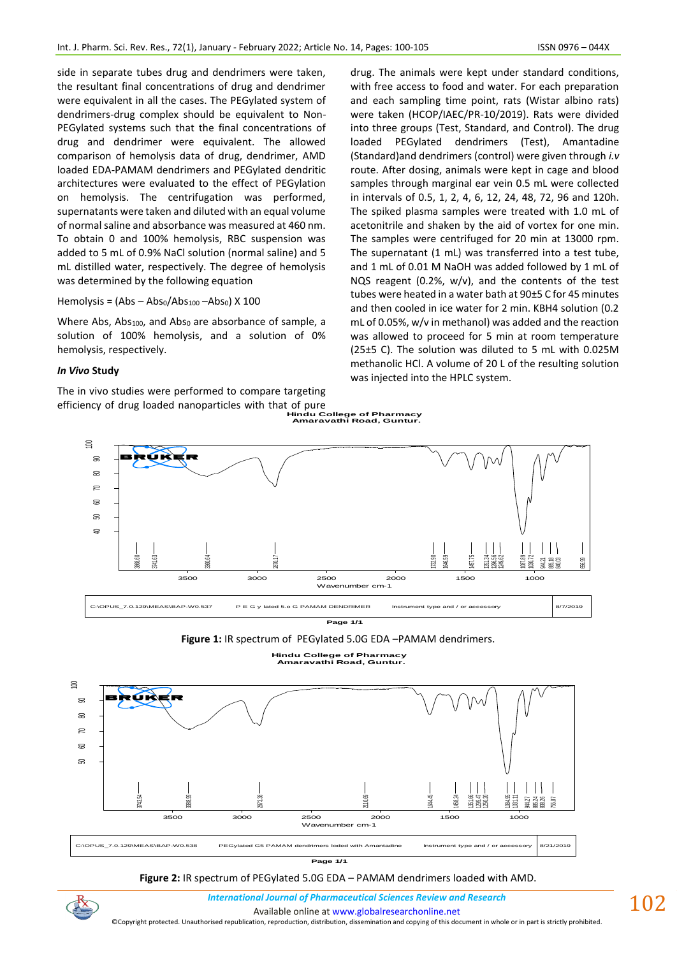side in separate tubes drug and dendrimers were taken, the resultant final concentrations of drug and dendrimer were equivalent in all the cases. The PEGylated system of dendrimers-drug complex should be equivalent to Non-PEGylated systems such that the final concentrations of drug and dendrimer were equivalent. The allowed comparison of hemolysis data of drug, dendrimer, AMD loaded EDA-PAMAM dendrimers and PEGylated dendritic architectures were evaluated to the effect of PEGylation on hemolysis. The centrifugation was performed, supernatants were taken and diluted with an equal volume of normal saline and absorbance was measured at 460 nm. To obtain 0 and 100% hemolysis, RBC suspension was added to 5 mL of 0.9% NaCl solution (normal saline) and 5 mL distilled water, respectively. The degree of hemolysis was determined by the following equation

Hemolysis =  $(Abs - Abs<sub>0</sub>/Abs<sub>100</sub> - Abs<sub>0</sub>)$  X 100

Where Abs, Abs<sub>100</sub>, and Abs<sub>0</sub> are absorbance of sample, a solution of 100% hemolysis, and a solution of 0% hemolysis, respectively.

## *In Vivo* **Study**

The in vivo studies were performed to compare targeting efficiency of drug loaded nanoparticles with that of pure **Hindu College of Pharmacy Amaravathi Road, Guntur.**

drug. The animals were kept under standard conditions, with free access to food and water. For each preparation and each sampling time point, rats (Wistar albino rats) were taken (HCOP/IAEC/PR-10/2019). Rats were divided into three groups (Test, Standard, and Control). The drug loaded PEGylated dendrimers (Test), Amantadine (Standard)and dendrimers (control) were given through *i.v* route. After dosing, animals were kept in cage and blood samples through marginal ear vein 0.5 mL were collected in intervals of 0.5, 1, 2, 4, 6, 12, 24, 48, 72, 96 and 120h. The spiked plasma samples were treated with 1.0 mL of acetonitrile and shaken by the aid of vortex for one min. The samples were centrifuged for 20 min at 13000 rpm. The supernatant (1 mL) was transferred into a test tube, and 1 mL of 0.01 M NaOH was added followed by 1 mL of NQS reagent (0.2%, w/v), and the contents of the test tubes were heated in a water bath at 90±5 C for 45 minutes and then cooled in ice water for 2 min. KBH4 solution (0.2 mL of 0.05%, w/v in methanol) was added and the reaction was allowed to proceed for 5 min at room temperature (25±5 C). The solution was diluted to 5 mL with 0.025M methanolic HCl. A volume of 20 L of the resulting solution was injected into the HPLC system.



**Figure 1:** IR spectrum of PEGylated 5.0G EDA –PAMAM dendrimers.

**Hindu College of Pharmacy Amaravathi Road, Guntur.**



**Page 1/1**

**Figure 2:** IR spectrum of PEGylated 5.0G EDA – PAMAM dendrimers loaded with AMD.

*International Journal of Pharmaceutical Sciences Review and Research International Journal of Pharmaceutical Sciences Review and Research*

Available online a[t www.globalresearchonline.net](http://www.globalresearchonline.net/)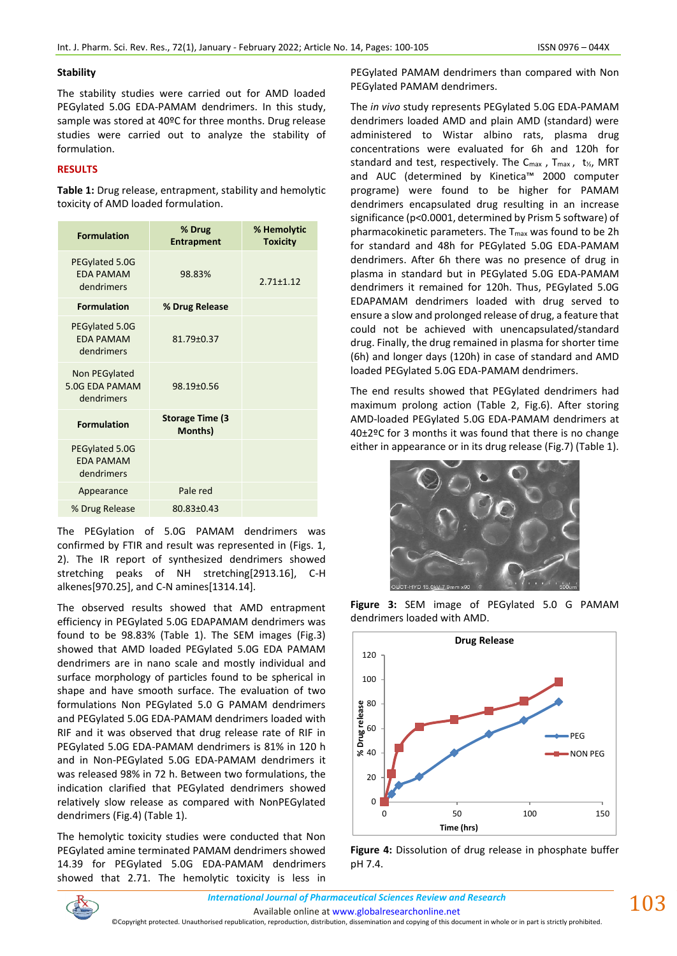### **Stability**

The stability studies were carried out for AMD loaded PEGylated 5.0G EDA-PAMAM dendrimers. In this study, sample was stored at 40ºC for three months. Drug release studies were carried out to analyze the stability of formulation.

# **RESULTS**

**Table 1:** Drug release, entrapment, stability and hemolytic toxicity of AMD loaded formulation.

| <b>Formulation</b>                               | % Drug<br><b>Entrapment</b>        | % Hemolytic<br><b>Toxicity</b> |
|--------------------------------------------------|------------------------------------|--------------------------------|
| PEGylated 5.0G<br><b>FDA PAMAM</b><br>dendrimers | 98.83%                             | $2.71 \pm 1.12$                |
| <b>Formulation</b>                               | % Drug Release                     |                                |
| PEGylated 5.0G<br><b>EDA PAMAM</b><br>dendrimers | 81.79±0.37                         |                                |
| Non PEGylated<br>5.0G EDA PAMAM<br>dendrimers    | 98.19±0.56                         |                                |
| <b>Formulation</b>                               | <b>Storage Time (3)</b><br>Months) |                                |
| PEGylated 5.0G<br><b>EDA PAMAM</b><br>dendrimers |                                    |                                |
| Appearance                                       | Pale red                           |                                |
| % Drug Release                                   | 80.83±0.43                         |                                |

The PEGylation of 5.0G PAMAM dendrimers was confirmed by FTIR and result was represented in (Figs. 1, 2). The IR report of synthesized dendrimers showed stretching peaks of NH stretching[2913.16], C-H alkenes[970.25], and C-N amines[1314.14].

The observed results showed that AMD entrapment efficiency in PEGylated 5.0G EDAPAMAM dendrimers was found to be 98.83% (Table 1). The SEM images (Fig.3) showed that AMD loaded PEGylated 5.0G EDA PAMAM dendrimers are in nano scale and mostly individual and surface morphology of particles found to be spherical in shape and have smooth surface. The evaluation of two formulations Non PEGylated 5.0 G PAMAM dendrimers and PEGylated 5.0G EDA-PAMAM dendrimers loaded with RIF and it was observed that drug release rate of RIF in PEGylated 5.0G EDA-PAMAM dendrimers is 81% in 120 h and in Non-PEGylated 5.0G EDA-PAMAM dendrimers it was released 98% in 72 h. Between two formulations, the indication clarified that PEGylated dendrimers showed relatively slow release as compared with NonPEGylated dendrimers (Fig.4) (Table 1).

The hemolytic toxicity studies were conducted that Non PEGylated amine terminated PAMAM dendrimers showed 14.39 for PEGylated 5.0G EDA-PAMAM dendrimers showed that 2.71. The hemolytic toxicity is less in PEGylated PAMAM dendrimers than compared with Non PEGylated PAMAM dendrimers.

The *in vivo* study represents PEGylated 5.0G EDA-PAMAM dendrimers loaded AMD and plain AMD (standard) were administered to Wistar albino rats, plasma drug concentrations were evaluated for 6h and 120h for standard and test, respectively. The C<sub>max</sub>, T<sub>max</sub>, t<sub>1/2</sub>, MRT and AUC (determined by Kinetica™ 2000 computer programe) were found to be higher for PAMAM dendrimers encapsulated drug resulting in an increase significance (p<0.0001, determined by Prism 5 software) of pharmacokinetic parameters. The  $T_{max}$  was found to be 2h for standard and 48h for PEGylated 5.0G EDA-PAMAM dendrimers. After 6h there was no presence of drug in plasma in standard but in PEGylated 5.0G EDA-PAMAM dendrimers it remained for 120h. Thus, PEGylated 5.0G EDAPAMAM dendrimers loaded with drug served to ensure a slow and prolonged release of drug, a feature that could not be achieved with unencapsulated/standard drug. Finally, the drug remained in plasma for shorter time (6h) and longer days (120h) in case of standard and AMD loaded PEGylated 5.0G EDA-PAMAM dendrimers.

The end results showed that PEGylated dendrimers had maximum prolong action (Table 2, Fig.6). After storing AMD-loaded PEGylated 5.0G EDA-PAMAM dendrimers at 40±2ºC for 3 months it was found that there is no change either in appearance or in its drug release (Fig.7) (Table 1).



**Figure 3:** SEM image of PEGylated 5.0 G PAMAM dendrimers loaded with AMD.



**Figure 4:** Dissolution of drug release in phosphate buffer pH 7.4.

*International Journal of Pharmaceutical Sciences Review and Research International Journal of Pharmaceutical Sciences Review and Research*

Available online a[t www.globalresearchonline.net](http://www.globalresearchonline.net/)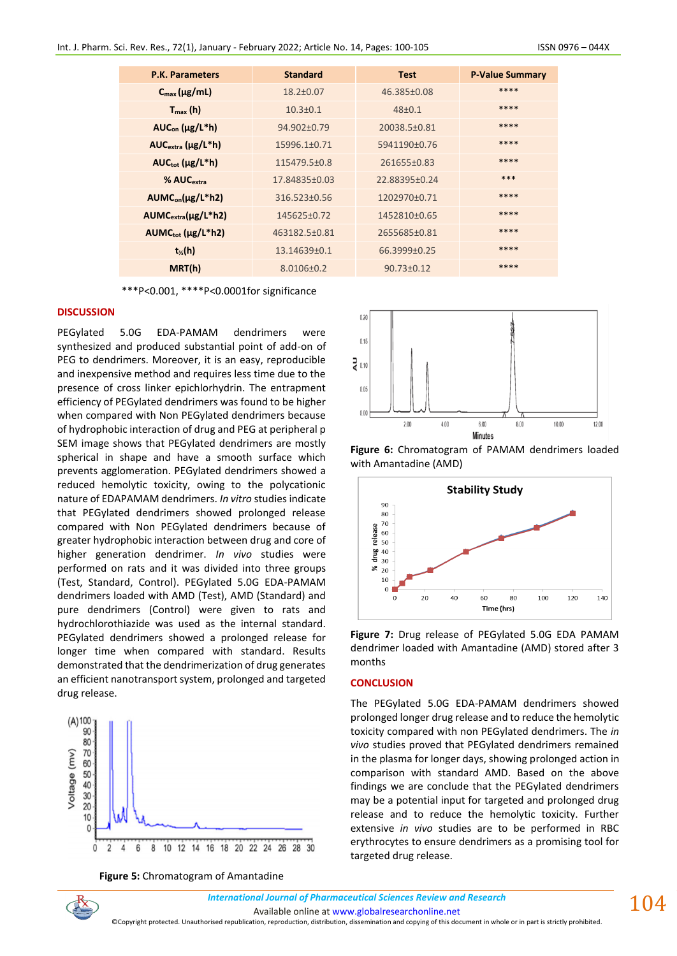| <b>P.K. Parameters</b>     | <b>Standard</b> | <b>Test</b>      | <b>P-Value Summary</b> |
|----------------------------|-----------------|------------------|------------------------|
| $C_{\text{max}}(\mu g/mL)$ | 18.2±0.07       | 46.385±0.08      | ****                   |
| $T_{max}(h)$               | $10.3 \pm 0.1$  | $48 + 0.1$       | ****                   |
| $AUC_{on} (\mu g/L^*h)$    | 94.902±0.79     | 20038.5±0.81     | ****                   |
| $AUCextra (\mu g/L* h)$    | 15996.1±0.71    | 5941190±0.76     | ****                   |
| $AUC_{tot}$ ( $\mu$ g/L*h) | 115479.5±0.8    | 261655±0.83      | ****                   |
| % AUC <sub>extra</sub>     | 17.84835±0.03   | 22.88395±0.24    | ***                    |
| $AUMCon(\mu g/L*h2)$       | 316.523±0.56    | 1202970±0.71     | ****                   |
| $AUMCextra(µg/L*h2)$       | 145625±0.72     | 1452810±0.65     | ****                   |
| $AUMC_{tot}$ (µg/L*h2)     | 463182.5±0.81   | 2655685±0.81     | ****                   |
| $t_{\%}(h)$                | 13.14639±0.1    | 66.3999±0.25     | ****                   |
| MRT(h)                     | 8.0106±0.2      | $90.73 \pm 0.12$ | ****                   |

\*\*\*P<0.001, \*\*\*\*P<0.0001for significance

#### **DISCUSSION**

PEGylated 5.0G EDA-PAMAM dendrimers were synthesized and produced substantial point of add-on of PEG to dendrimers. Moreover, it is an easy, reproducible and inexpensive method and requires less time due to the presence of cross linker epichlorhydrin. The entrapment efficiency of PEGylated dendrimers was found to be higher when compared with Non PEGylated dendrimers because of hydrophobic interaction of drug and PEG at peripheral p SEM image shows that PEGylated dendrimers are mostly spherical in shape and have a smooth surface which prevents agglomeration. PEGylated dendrimers showed a reduced hemolytic toxicity, owing to the polycationic nature of EDAPAMAM dendrimers. *In vitro* studies indicate that PEGylated dendrimers showed prolonged release compared with Non PEGylated dendrimers because of greater hydrophobic interaction between drug and core of higher generation dendrimer. *In vivo* studies were performed on rats and it was divided into three groups (Test, Standard, Control). PEGylated 5.0G EDA-PAMAM dendrimers loaded with AMD (Test), AMD (Standard) and pure dendrimers (Control) were given to rats and hydrochlorothiazide was used as the internal standard. PEGylated dendrimers showed a prolonged release for longer time when compared with standard. Results demonstrated that the dendrimerization of drug generates an efficient nanotransport system, prolonged and targeted drug release.



**Figure 5:** Chromatogram of Amantadine



**Figure 6:** Chromatogram of PAMAM dendrimers loaded with Amantadine (AMD)



**Figure 7:** Drug release of PEGylated 5.0G EDA PAMAM dendrimer loaded with Amantadine (AMD) stored after 3 months

### **CONCLUSION**

The PEGylated 5.0G EDA-PAMAM dendrimers showed prolonged longer drug release and to reduce the hemolytic toxicity compared with non PEGylated dendrimers. The *in vivo* studies proved that PEGylated dendrimers remained in the plasma for longer days, showing prolonged action in comparison with standard AMD. Based on the above findings we are conclude that the PEGylated dendrimers may be a potential input for targeted and prolonged drug release and to reduce the hemolytic toxicity. Further extensive *in vivo* studies are to be performed in RBC erythrocytes to ensure dendrimers as a promising tool for targeted drug release.